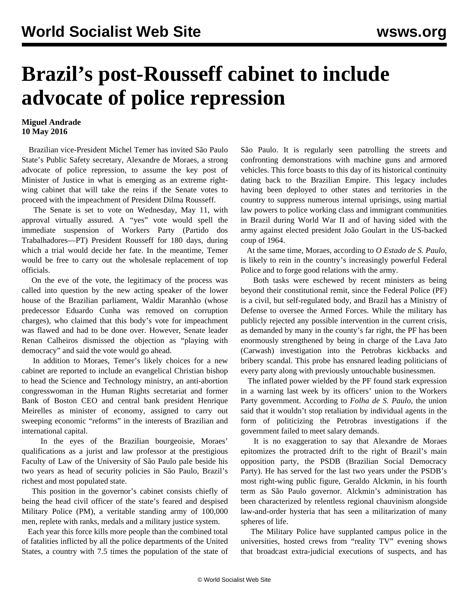## **Brazil's post-Rousseff cabinet to include advocate of police repression**

## **Miguel Andrade 10 May 2016**

 Brazilian vice-President Michel Temer has invited São Paulo State's Public Safety secretary, Alexandre de Moraes, a strong advocate of police repression, to assume the key post of Minister of Justice in what is emerging as an extreme rightwing cabinet that will take the reins if the Senate votes to proceed with the impeachment of President Dilma Rousseff.

 The Senate is set to vote on Wednesday, May 11, with approval virtually assured. A "yes" vote would spell the immediate suspension of Workers Party (Partido dos Trabalhadores—PT) President Rousseff for 180 days, during which a trial would decide her fate. In the meantime, Temer would be free to carry out the wholesale replacement of top officials.

 On the eve of the vote, the legitimacy of the process was called into question by the new acting speaker of the lower house of the Brazilian parliament, Waldir Maranhão (whose predecessor Eduardo Cunha was removed on corruption charges), who claimed that this body's vote for impeachment was flawed and had to be done over. However, Senate leader Renan Calheiros dismissed the objection as "playing with democracy" and said the vote would go ahead.

 In addition to Moraes, Temer's likely choices for a new cabinet are reported to include an evangelical Christian bishop to head the Science and Technology ministry, an anti-abortion congresswoman in the Human Rights secretariat and former Bank of Boston CEO and central bank president Henrique Meirelles as minister of economy, assigned to carry out sweeping economic "reforms" in the interests of Brazilian and international capital.

 In the eyes of the Brazilian bourgeoisie, Moraes' qualifications as a jurist and law professor at the prestigious Faculty of Law of the University of São Paulo pale beside his two years as head of security policies in São Paulo, Brazil's richest and most populated state.

 This position in the governor's cabinet consists chiefly of being the head civil officer of the state's feared and despised Military Police (PM), a veritable standing army of 100,000 men, replete with ranks, medals and a military justice system.

 Each year this force kills more people than the combined total of fatalities inflicted by all the police departments of the United States, a country with 7.5 times the population of the state of São Paulo. It is regularly seen patrolling the streets and confronting demonstrations with machine guns and armored vehicles. This force boasts to this day of its historical continuity dating back to the Brazilian Empire. This legacy includes having been deployed to other states and territories in the country to suppress numerous internal uprisings, using martial law powers to police working class and immigrant communities in Brazil during World War II and of having sided with the army against elected president João Goulart in the US-backed coup of 1964.

 At the same time, Moraes, according to *O Estado de S. Paulo*, is likely to rein in the country's increasingly powerful Federal Police and to forge good relations with the army.

 Both tasks were eschewed by recent ministers as being beyond their constitutional remit, since the Federal Police (PF) is a civil, but self-regulated body, and Brazil has a Ministry of Defense to oversee the Armed Forces. While the military has publicly rejected any possible intervention in the current crisis, as demanded by many in the county's far right, the PF has been enormously strengthened by being in charge of the Lava Jato (Carwash) investigation into the Petrobras kickbacks and bribery scandal. This probe has ensnared leading politicians of every party along with previously untouchable businessmen.

 The inflated power wielded by the PF found stark expression in a warning last week by its officers' union to the Workers Party government. According to *Folha de S. Paulo*, the union said that it wouldn't stop retaliation by individual agents in the form of politicizing the Petrobras investigations if the government failed to meet salary demands.

 It is no exaggeration to say that Alexandre de Moraes epitomizes the protracted drift to the right of Brazil's main opposition party, the PSDB (Brazilian Social Democracy Party). He has served for the last two years under the PSDB's most right-wing public figure, Geraldo Alckmin, in his fourth term as São Paulo governor. Alckmin's administration has been characterized by relentless regional chauvinism alongside law-and-order hysteria that has seen a militarization of many spheres of life.

 The Military Police have supplanted campus police in the universities, hosted crews from "reality TV" evening shows that broadcast extra-judicial executions of suspects, and has